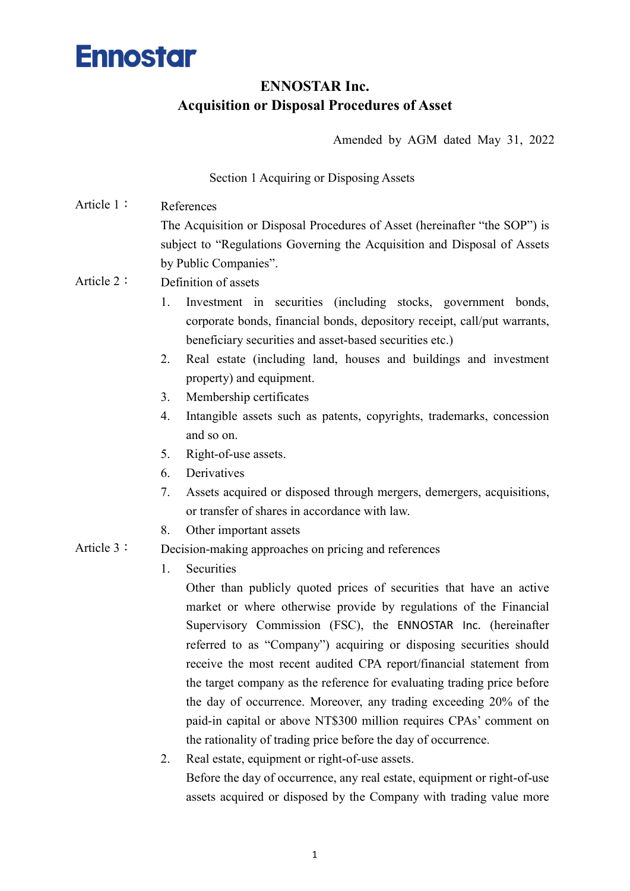#### ENNOSTAR Inc. Acquisition or Disposal Procedures of Asset

Amended by AGM dated May 31, 2022

Section 1 Acquiring or Disposing Assets

- Article 1: References The Acquisition or Disposal Procedures of Asset (hereinafter "the SOP") is subject to "Regulations Governing the Acquisition and Disposal of Assets by Public Companies". Article 2: Definition of assets
	- 1. Investment in securities (including stocks, government bonds, corporate bonds, financial bonds, depository receipt, call/put warrants, beneficiary securities and asset-based securities etc.)
	- 2. Real estate (including land, houses and buildings and investment property) and equipment.
	- 3. Membership certificates
	- 4. Intangible assets such as patents, copyrights, trademarks, concession and so on.
	- 5. Right-of-use assets.
	- 6. Derivatives
	- 7. Assets acquired or disposed through mergers, demergers, acquisitions, or transfer of shares in accordance with law.
	- 8. Other important assets
- Article 3: Decision-making approaches on pricing and references
	- 1. Securities

Other than publicly quoted prices of securities that have an active market or where otherwise provide by regulations of the Financial Supervisory Commission (FSC), the ENNOSTAR Inc. (hereinafter referred to as "Company") acquiring or disposing securities should receive the most recent audited CPA report/financial statement from the target company as the reference for evaluating trading price before the day of occurrence. Moreover, any trading exceeding 20% of the paid-in capital or above NT\$300 million requires CPAs' comment on the rationality of trading price before the day of occurrence.

2. Real estate, equipment or right-of-use assets. Before the day of occurrence, any real estate, equipment or right-of-use assets acquired or disposed by the Company with trading value more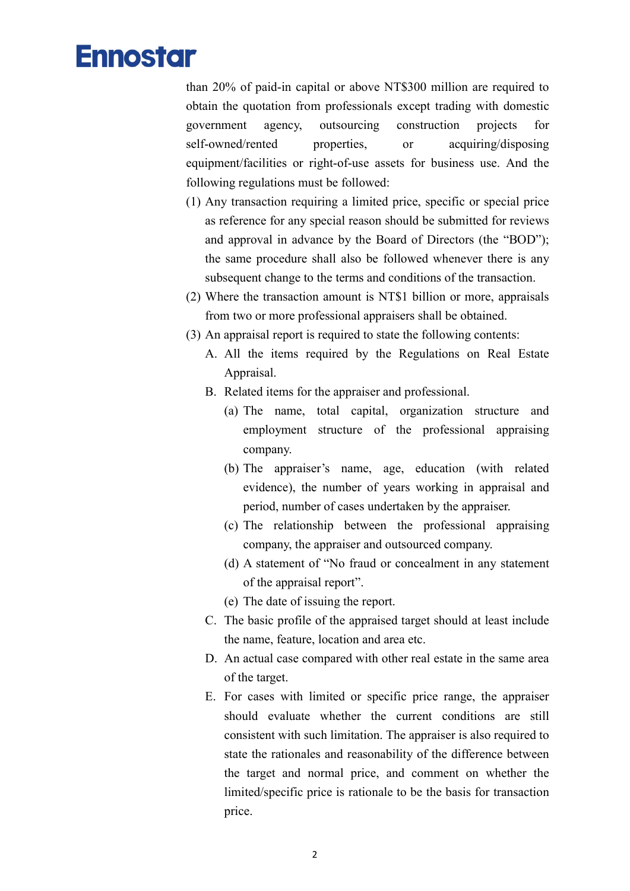than 20% of paid-in capital or above NT\$300 million are required to obtain the quotation from professionals except trading with domestic government agency, outsourcing construction projects for self-owned/rented properties, or acquiring/disposing equipment/facilities or right-of-use assets for business use. And the following regulations must be followed:

- (1) Any transaction requiring a limited price, specific or special price as reference for any special reason should be submitted for reviews and approval in advance by the Board of Directors (the "BOD"); the same procedure shall also be followed whenever there is any subsequent change to the terms and conditions of the transaction.
- (2) Where the transaction amount is NT\$1 billion or more, appraisals from two or more professional appraisers shall be obtained.
- (3) An appraisal report is required to state the following contents:
	- A. All the items required by the Regulations on Real Estate Appraisal.
	- B. Related items for the appraiser and professional.
		- (a) The name, total capital, organization structure and employment structure of the professional appraising company.
		- (b) The appraiser's name, age, education (with related evidence), the number of years working in appraisal and period, number of cases undertaken by the appraiser.
		- (c) The relationship between the professional appraising company, the appraiser and outsourced company.
		- (d) A statement of "No fraud or concealment in any statement of the appraisal report".
		- (e) The date of issuing the report.
	- C. The basic profile of the appraised target should at least include the name, feature, location and area etc.
	- D. An actual case compared with other real estate in the same area of the target.
	- E. For cases with limited or specific price range, the appraiser should evaluate whether the current conditions are still consistent with such limitation. The appraiser is also required to state the rationales and reasonability of the difference between the target and normal price, and comment on whether the limited/specific price is rationale to be the basis for transaction price.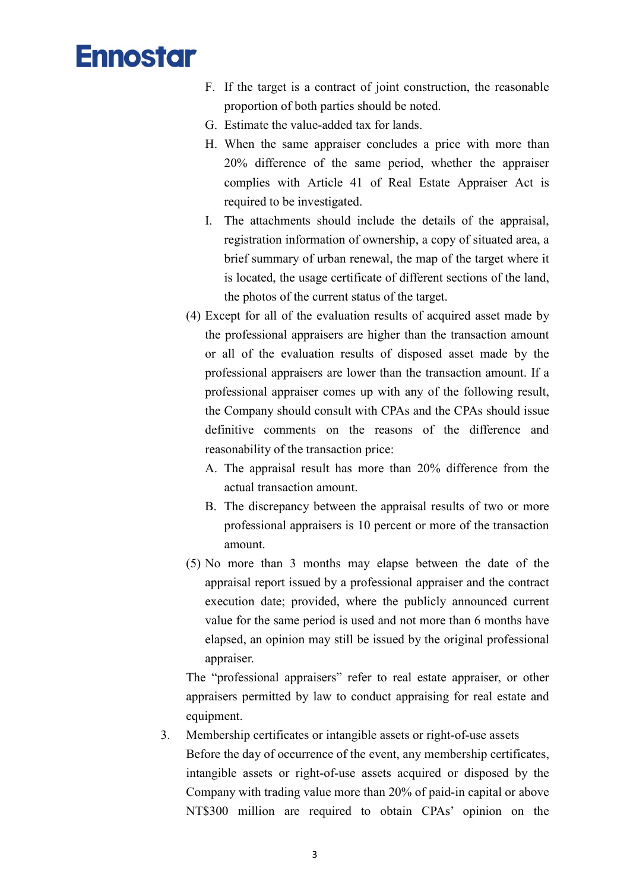- F. If the target is a contract of joint construction, the reasonable proportion of both parties should be noted.
- G. Estimate the value-added tax for lands.
- H. When the same appraiser concludes a price with more than 20% difference of the same period, whether the appraiser complies with Article 41 of Real Estate Appraiser Act is required to be investigated.
- I. The attachments should include the details of the appraisal, registration information of ownership, a copy of situated area, a brief summary of urban renewal, the map of the target where it is located, the usage certificate of different sections of the land, the photos of the current status of the target.
- (4) Except for all of the evaluation results of acquired asset made by the professional appraisers are higher than the transaction amount or all of the evaluation results of disposed asset made by the professional appraisers are lower than the transaction amount. If a professional appraiser comes up with any of the following result, the Company should consult with CPAs and the CPAs should issue definitive comments on the reasons of the difference and reasonability of the transaction price:
	- A. The appraisal result has more than 20% difference from the actual transaction amount.
	- B. The discrepancy between the appraisal results of two or more professional appraisers is 10 percent or more of the transaction amount.
- (5) No more than 3 months may elapse between the date of the appraisal report issued by a professional appraiser and the contract execution date; provided, where the publicly announced current value for the same period is used and not more than 6 months have elapsed, an opinion may still be issued by the original professional appraiser.

The "professional appraisers" refer to real estate appraiser, or other appraisers permitted by law to conduct appraising for real estate and equipment.

#### 3. Membership certificates or intangible assets or right-of-use assets Before the day of occurrence of the event, any membership certificates,

intangible assets or right-of-use assets acquired or disposed by the Company with trading value more than 20% of paid-in capital or above NT\$300 million are required to obtain CPAs' opinion on the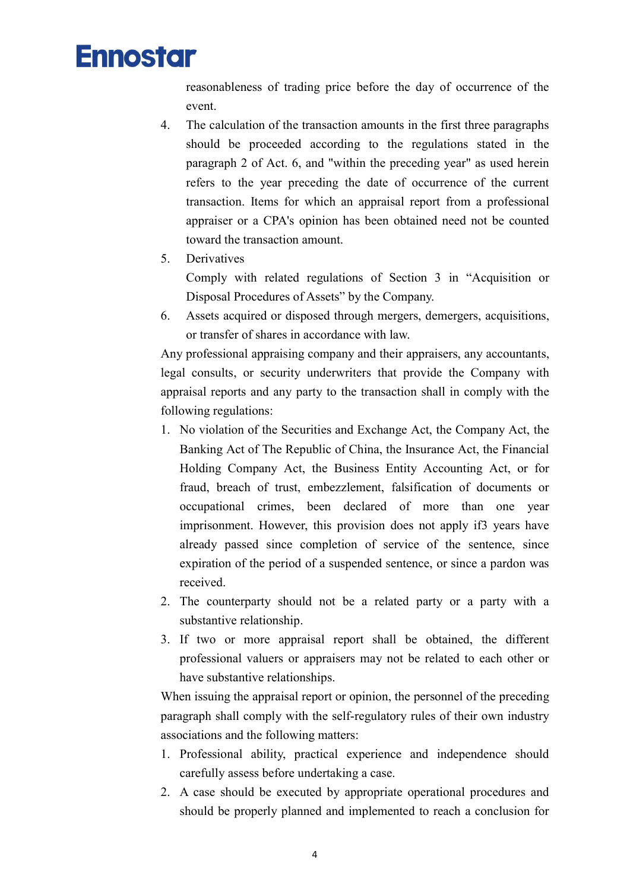reasonableness of trading price before the day of occurrence of the event.

- 4. The calculation of the transaction amounts in the first three paragraphs should be proceeded according to the regulations stated in the paragraph 2 of Act. 6, and "within the preceding year" as used herein refers to the year preceding the date of occurrence of the current transaction. Items for which an appraisal report from a professional appraiser or a CPA's opinion has been obtained need not be counted toward the transaction amount.
- 5. Derivatives

Comply with related regulations of Section 3 in "Acquisition or Disposal Procedures of Assets" by the Company.

6. Assets acquired or disposed through mergers, demergers, acquisitions, or transfer of shares in accordance with law.

Any professional appraising company and their appraisers, any accountants, legal consults, or security underwriters that provide the Company with appraisal reports and any party to the transaction shall in comply with the following regulations:

- 1. No violation of the Securities and Exchange Act, the Company Act, the Banking Act of The Republic of China, the Insurance Act, the Financial Holding Company Act, the Business Entity Accounting Act, or for fraud, breach of trust, embezzlement, falsification of documents or occupational crimes, been declared of more than one year imprisonment. However, this provision does not apply if3 years have already passed since completion of service of the sentence, since expiration of the period of a suspended sentence, or since a pardon was received.
- 2. The counterparty should not be a related party or a party with a substantive relationship.
- 3. If two or more appraisal report shall be obtained, the different professional valuers or appraisers may not be related to each other or have substantive relationships.

When issuing the appraisal report or opinion, the personnel of the preceding paragraph shall comply with the self-regulatory rules of their own industry associations and the following matters:

- 1. Professional ability, practical experience and independence should carefully assess before undertaking a case.
- 2. A case should be executed by appropriate operational procedures and should be properly planned and implemented to reach a conclusion for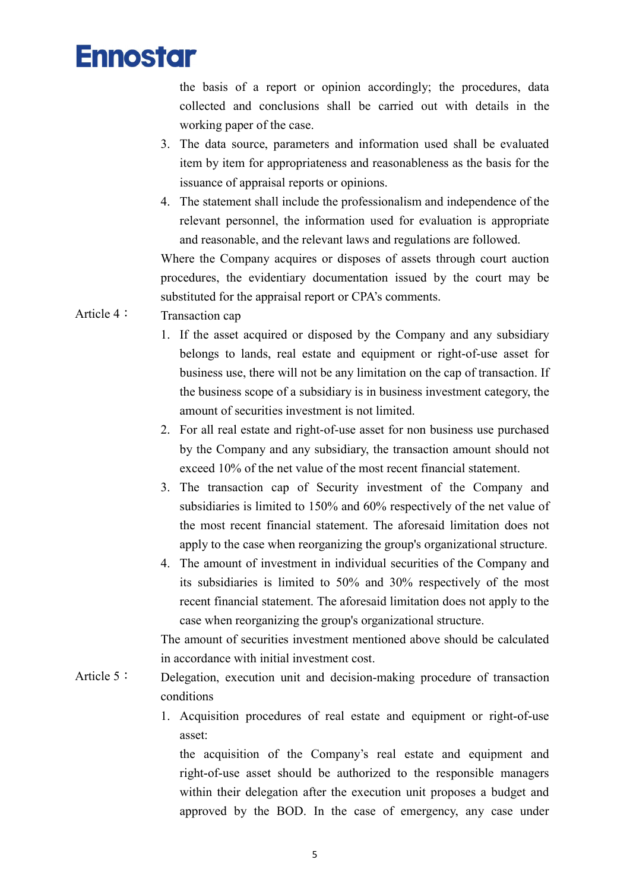

the basis of a report or opinion accordingly; the procedures, data collected and conclusions shall be carried out with details in the working paper of the case.

- 3. The data source, parameters and information used shall be evaluated item by item for appropriateness and reasonableness as the basis for the issuance of appraisal reports or opinions.
- 4. The statement shall include the professionalism and independence of the relevant personnel, the information used for evaluation is appropriate and reasonable, and the relevant laws and regulations are followed.

Where the Company acquires or disposes of assets through court auction procedures, the evidentiary documentation issued by the court may be substituted for the appraisal report or CPA's comments.

#### Article 4: Transaction cap

- 1. If the asset acquired or disposed by the Company and any subsidiary belongs to lands, real estate and equipment or right-of-use asset for business use, there will not be any limitation on the cap of transaction. If the business scope of a subsidiary is in business investment category, the amount of securities investment is not limited.
- 2. For all real estate and right-of-use asset for non business use purchased by the Company and any subsidiary, the transaction amount should not exceed 10% of the net value of the most recent financial statement.
- 3. The transaction cap of Security investment of the Company and subsidiaries is limited to 150% and 60% respectively of the net value of the most recent financial statement. The aforesaid limitation does not apply to the case when reorganizing the group's organizational structure.
- 4. The amount of investment in individual securities of the Company and its subsidiaries is limited to 50% and 30% respectively of the most recent financial statement. The aforesaid limitation does not apply to the case when reorganizing the group's organizational structure.

The amount of securities investment mentioned above should be calculated in accordance with initial investment cost.

- Article 5: Delegation, execution unit and decision-making procedure of transaction conditions
	- 1. Acquisition procedures of real estate and equipment or right-of-use asset:

the acquisition of the Company's real estate and equipment and right-of-use asset should be authorized to the responsible managers within their delegation after the execution unit proposes a budget and approved by the BOD. In the case of emergency, any case under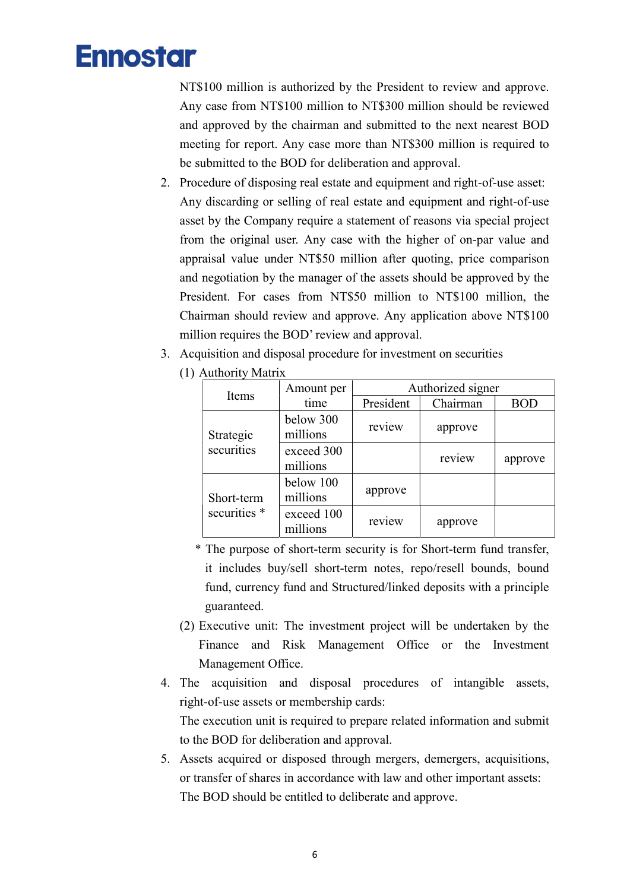NT\$100 million is authorized by the President to review and approve. Any case from NT\$100 million to NT\$300 million should be reviewed and approved by the chairman and submitted to the next nearest BOD meeting for report. Any case more than NT\$300 million is required to be submitted to the BOD for deliberation and approval.

- 2. Procedure of disposing real estate and equipment and right-of-use asset: Any discarding or selling of real estate and equipment and right-of-use asset by the Company require a statement of reasons via special project from the original user. Any case with the higher of on-par value and appraisal value under NT\$50 million after quoting, price comparison and negotiation by the manager of the assets should be approved by the President. For cases from NT\$50 million to NT\$100 million, the Chairman should review and approve. Any application above NT\$100 million requires the BOD' review and approval.
- 3. Acquisition and disposal procedure for investment on securities

|  | 1) Authority Matrix     |                        |                   |          |            |  |  |
|--|-------------------------|------------------------|-------------------|----------|------------|--|--|
|  | Items                   | Amount per             | Authorized signer |          |            |  |  |
|  |                         | time                   | President         | Chairman | <b>BOD</b> |  |  |
|  | Strategic<br>securities | below 300<br>millions  | review            | approve  |            |  |  |
|  |                         | exceed 300<br>millions |                   | review   | approve    |  |  |
|  | Short-term              | below 100<br>millions  | approve           |          |            |  |  |
|  | securities *            | exceed 100<br>millions | review            | approve  |            |  |  |

(1) Authority Matrix

- \* The purpose of short-term security is for Short-term fund transfer, it includes buy/sell short-term notes, repo/resell bounds, bound fund, currency fund and Structured/linked deposits with a principle guaranteed.
- (2) Executive unit: The investment project will be undertaken by the Finance and Risk Management Office or the Investment Management Office.
- 4. The acquisition and disposal procedures of intangible assets, right-of-use assets or membership cards: The execution unit is required to prepare related information and submit to the BOD for deliberation and approval.
- 5. Assets acquired or disposed through mergers, demergers, acquisitions, or transfer of shares in accordance with law and other important assets: The BOD should be entitled to deliberate and approve.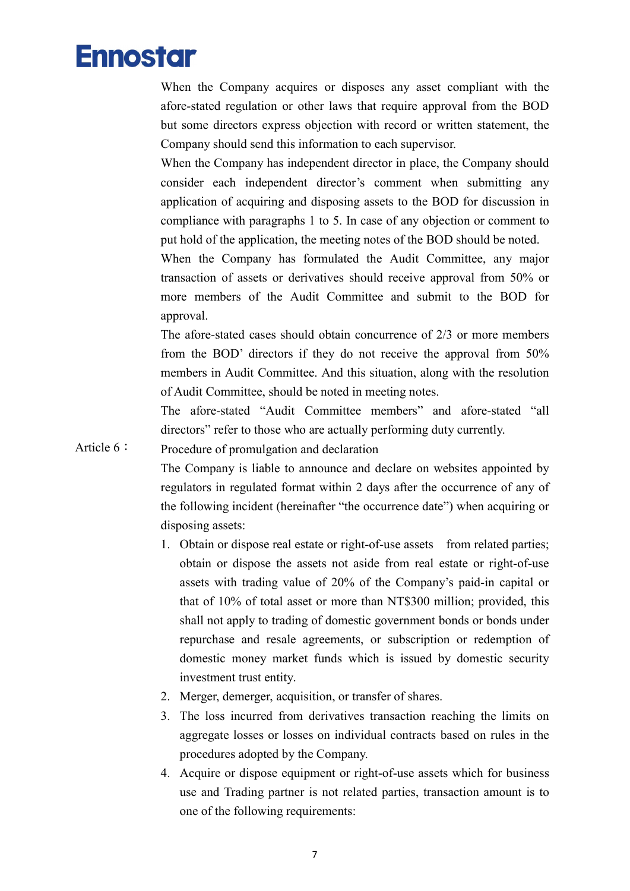When the Company acquires or disposes any asset compliant with the afore-stated regulation or other laws that require approval from the BOD but some directors express objection with record or written statement, the Company should send this information to each supervisor.

When the Company has independent director in place, the Company should consider each independent director's comment when submitting any application of acquiring and disposing assets to the BOD for discussion in compliance with paragraphs 1 to 5. In case of any objection or comment to put hold of the application, the meeting notes of the BOD should be noted.

When the Company has formulated the Audit Committee, any major transaction of assets or derivatives should receive approval from 50% or more members of the Audit Committee and submit to the BOD for approval.

The afore-stated cases should obtain concurrence of 2/3 or more members from the BOD' directors if they do not receive the approval from 50% members in Audit Committee. And this situation, along with the resolution of Audit Committee, should be noted in meeting notes.

The afore-stated "Audit Committee members" and afore-stated "all directors" refer to those who are actually performing duty currently.

Article 6: Procedure of promulgation and declaration

The Company is liable to announce and declare on websites appointed by regulators in regulated format within 2 days after the occurrence of any of the following incident (hereinafter "the occurrence date") when acquiring or disposing assets:

- 1. Obtain or dispose real estate or right-of-use assets from related parties; obtain or dispose the assets not aside from real estate or right-of-use assets with trading value of 20% of the Company's paid-in capital or that of 10% of total asset or more than NT\$300 million; provided, this shall not apply to trading of domestic government bonds or bonds under repurchase and resale agreements, or subscription or redemption of domestic money market funds which is issued by domestic security investment trust entity.
- 2. Merger, demerger, acquisition, or transfer of shares.
- 3. The loss incurred from derivatives transaction reaching the limits on aggregate losses or losses on individual contracts based on rules in the procedures adopted by the Company.
- 4. Acquire or dispose equipment or right-of-use assets which for business use and Trading partner is not related parties, transaction amount is to one of the following requirements: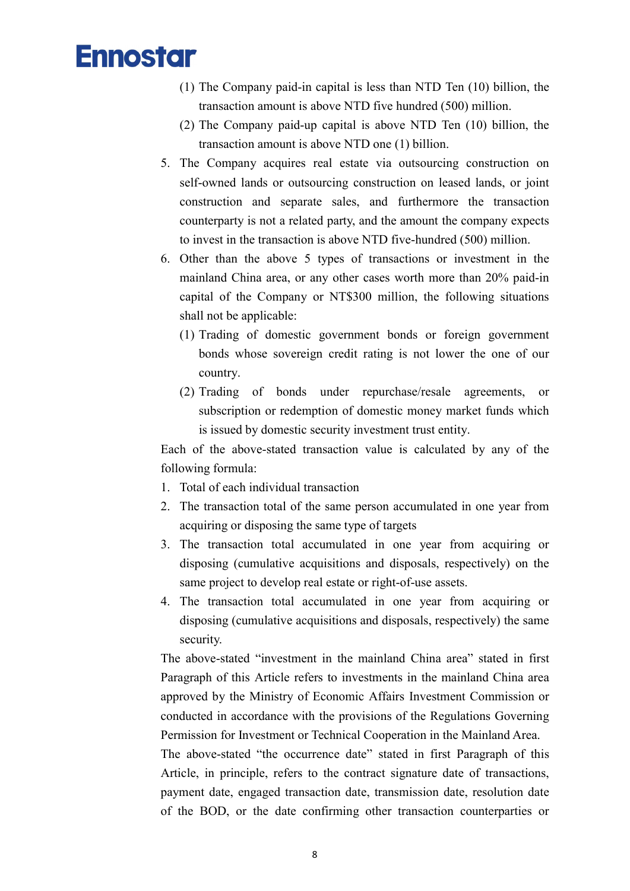- (1) The Company paid-in capital is less than NTD Ten (10) billion, the transaction amount is above NTD five hundred (500) million.
- (2) The Company paid-up capital is above NTD Ten (10) billion, the transaction amount is above NTD one (1) billion.
- 5. The Company acquires real estate via outsourcing construction on self-owned lands or outsourcing construction on leased lands, or joint construction and separate sales, and furthermore the transaction counterparty is not a related party, and the amount the company expects to invest in the transaction is above NTD five-hundred (500) million.
- 6. Other than the above 5 types of transactions or investment in the mainland China area, or any other cases worth more than 20% paid-in capital of the Company or NT\$300 million, the following situations shall not be applicable:
	- (1) Trading of domestic government bonds or foreign government bonds whose sovereign credit rating is not lower the one of our country.
	- (2) Trading of bonds under repurchase/resale agreements, or subscription or redemption of domestic money market funds which is issued by domestic security investment trust entity.

Each of the above-stated transaction value is calculated by any of the following formula:

- 1. Total of each individual transaction
- 2. The transaction total of the same person accumulated in one year from acquiring or disposing the same type of targets
- 3. The transaction total accumulated in one year from acquiring or disposing (cumulative acquisitions and disposals, respectively) on the same project to develop real estate or right-of-use assets.
- 4. The transaction total accumulated in one year from acquiring or disposing (cumulative acquisitions and disposals, respectively) the same security.

The above-stated "investment in the mainland China area" stated in first Paragraph of this Article refers to investments in the mainland China area approved by the Ministry of Economic Affairs Investment Commission or conducted in accordance with the provisions of the Regulations Governing Permission for Investment or Technical Cooperation in the Mainland Area.

The above-stated "the occurrence date" stated in first Paragraph of this Article, in principle, refers to the contract signature date of transactions, payment date, engaged transaction date, transmission date, resolution date of the BOD, or the date confirming other transaction counterparties or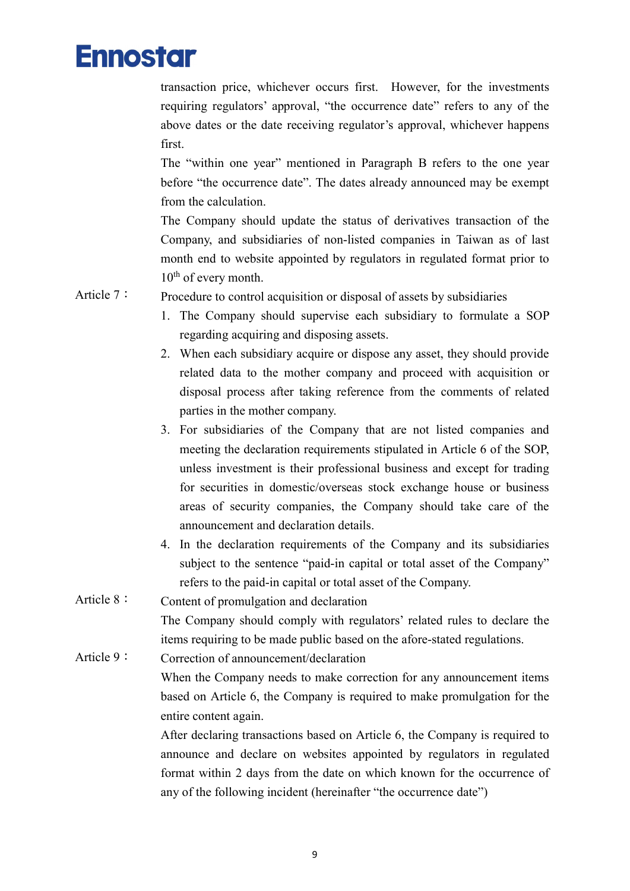transaction price, whichever occurs first. However, for the investments requiring regulators' approval, "the occurrence date" refers to any of the above dates or the date receiving regulator's approval, whichever happens first.

The "within one year" mentioned in Paragraph B refers to the one year before "the occurrence date". The dates already announced may be exempt from the calculation.

The Company should update the status of derivatives transaction of the Company, and subsidiaries of non-listed companies in Taiwan as of last month end to website appointed by regulators in regulated format prior to 10<sup>th</sup> of every month.

Article 7: Procedure to control acquisition or disposal of assets by subsidiaries

- 1. The Company should supervise each subsidiary to formulate a SOP regarding acquiring and disposing assets.
- 2. When each subsidiary acquire or dispose any asset, they should provide related data to the mother company and proceed with acquisition or disposal process after taking reference from the comments of related parties in the mother company.
- 3. For subsidiaries of the Company that are not listed companies and meeting the declaration requirements stipulated in Article 6 of the SOP, unless investment is their professional business and except for trading for securities in domestic/overseas stock exchange house or business areas of security companies, the Company should take care of the announcement and declaration details.
- 4. In the declaration requirements of the Company and its subsidiaries subject to the sentence "paid-in capital or total asset of the Company" refers to the paid-in capital or total asset of the Company.
- Article 8: Content of promulgation and declaration

The Company should comply with regulators' related rules to declare the items requiring to be made public based on the afore-stated regulations.

Article 9: Correction of announcement/declaration

When the Company needs to make correction for any announcement items based on Article 6, the Company is required to make promulgation for the entire content again.

After declaring transactions based on Article 6, the Company is required to announce and declare on websites appointed by regulators in regulated format within 2 days from the date on which known for the occurrence of any of the following incident (hereinafter "the occurrence date")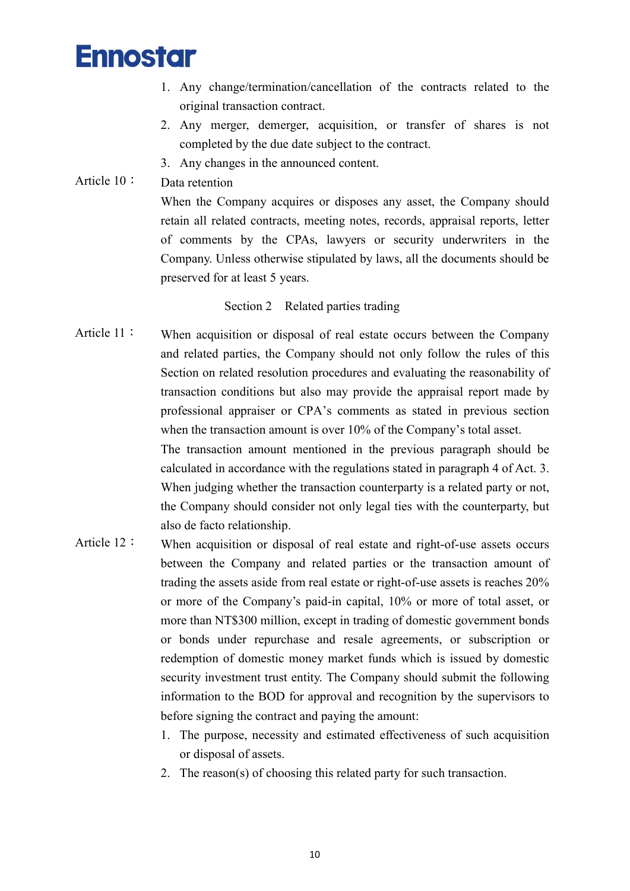- 1. Any change/termination/cancellation of the contracts related to the original transaction contract.
- 2. Any merger, demerger, acquisition, or transfer of shares is not completed by the due date subject to the contract.
- 3. Any changes in the announced content.

#### Article 10: Data retention

When the Company acquires or disposes any asset, the Company should retain all related contracts, meeting notes, records, appraisal reports, letter of comments by the CPAs, lawyers or security underwriters in the Company. Unless otherwise stipulated by laws, all the documents should be preserved for at least 5 years.

#### Section 2 Related parties trading

Article 11: When acquisition or disposal of real estate occurs between the Company and related parties, the Company should not only follow the rules of this Section on related resolution procedures and evaluating the reasonability of transaction conditions but also may provide the appraisal report made by professional appraiser or CPA's comments as stated in previous section when the transaction amount is over 10% of the Company's total asset. The transaction amount mentioned in the previous paragraph should be calculated in accordance with the regulations stated in paragraph 4 of Act. 3.

When judging whether the transaction counterparty is a related party or not, the Company should consider not only legal ties with the counterparty, but also de facto relationship.

- Article 12: When acquisition or disposal of real estate and right-of-use assets occurs between the Company and related parties or the transaction amount of trading the assets aside from real estate or right-of-use assets is reaches 20% or more of the Company's paid-in capital, 10% or more of total asset, or more than NT\$300 million, except in trading of domestic government bonds or bonds under repurchase and resale agreements, or subscription or redemption of domestic money market funds which is issued by domestic security investment trust entity. The Company should submit the following information to the BOD for approval and recognition by the supervisors to before signing the contract and paying the amount:
	- 1. The purpose, necessity and estimated effectiveness of such acquisition or disposal of assets.
	- 2. The reason(s) of choosing this related party for such transaction.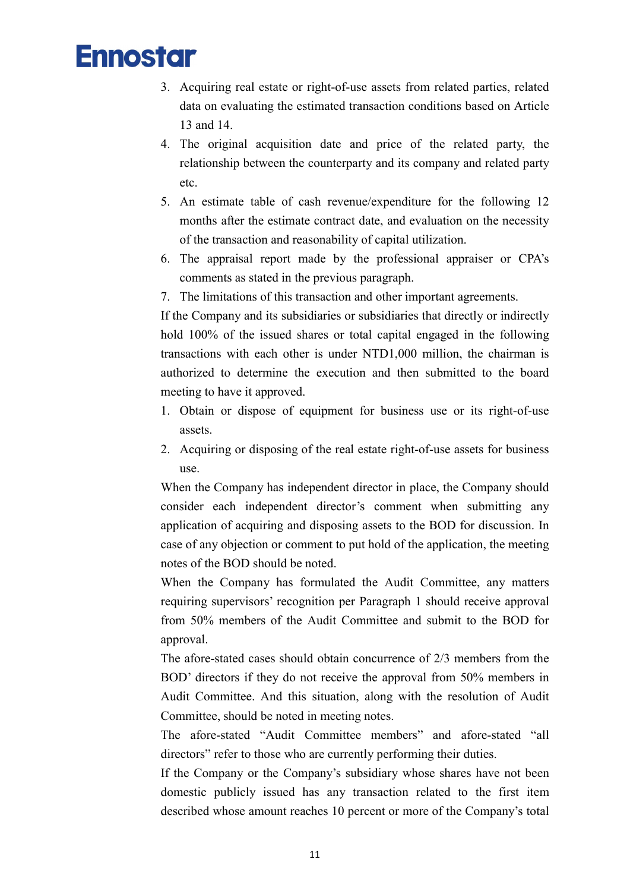- 3. Acquiring real estate or right-of-use assets from related parties, related data on evaluating the estimated transaction conditions based on Article 13 and 14.
- 4. The original acquisition date and price of the related party, the relationship between the counterparty and its company and related party etc.
- 5. An estimate table of cash revenue/expenditure for the following 12 months after the estimate contract date, and evaluation on the necessity of the transaction and reasonability of capital utilization.
- 6. The appraisal report made by the professional appraiser or CPA's comments as stated in the previous paragraph.
- 7. The limitations of this transaction and other important agreements.

If the Company and its subsidiaries or subsidiaries that directly or indirectly hold 100% of the issued shares or total capital engaged in the following transactions with each other is under NTD1,000 million, the chairman is authorized to determine the execution and then submitted to the board meeting to have it approved.

- 1. Obtain or dispose of equipment for business use or its right-of-use assets.
- 2. Acquiring or disposing of the real estate right-of-use assets for business use.

When the Company has independent director in place, the Company should consider each independent director's comment when submitting any application of acquiring and disposing assets to the BOD for discussion. In case of any objection or comment to put hold of the application, the meeting notes of the BOD should be noted.

When the Company has formulated the Audit Committee, any matters requiring supervisors' recognition per Paragraph 1 should receive approval from 50% members of the Audit Committee and submit to the BOD for approval.

The afore-stated cases should obtain concurrence of 2/3 members from the BOD' directors if they do not receive the approval from 50% members in Audit Committee. And this situation, along with the resolution of Audit Committee, should be noted in meeting notes.

The afore-stated "Audit Committee members" and afore-stated "all directors" refer to those who are currently performing their duties.

If the Company or the Company's subsidiary whose shares have not been domestic publicly issued has any transaction related to the first item described whose amount reaches 10 percent or more of the Company's total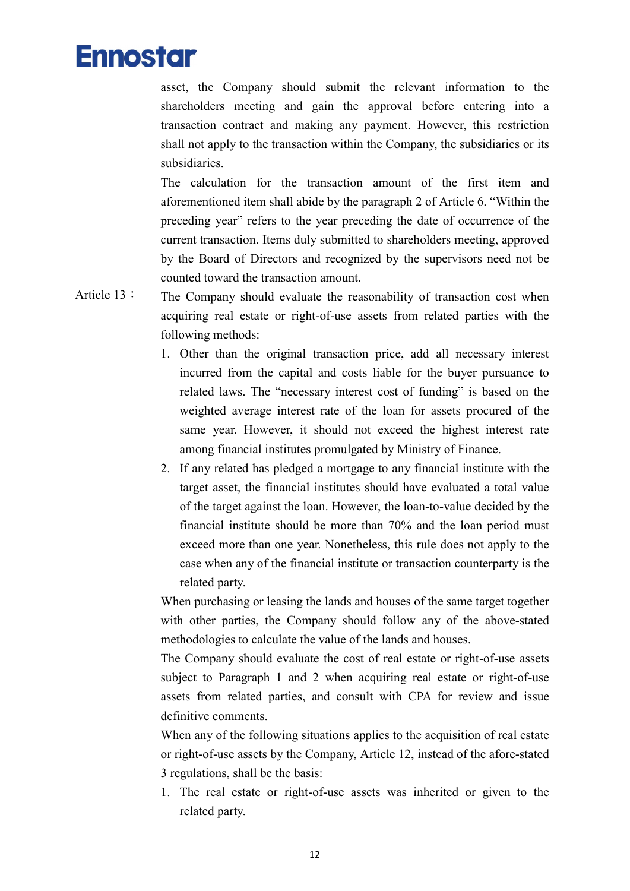asset, the Company should submit the relevant information to the shareholders meeting and gain the approval before entering into a transaction contract and making any payment. However, this restriction shall not apply to the transaction within the Company, the subsidiaries or its subsidiaries.

The calculation for the transaction amount of the first item and aforementioned item shall abide by the paragraph 2 of Article 6. "Within the preceding year" refers to the year preceding the date of occurrence of the current transaction. Items duly submitted to shareholders meeting, approved by the Board of Directors and recognized by the supervisors need not be counted toward the transaction amount.

- Article 13: The Company should evaluate the reasonability of transaction cost when acquiring real estate or right-of-use assets from related parties with the following methods:
	- 1. Other than the original transaction price, add all necessary interest incurred from the capital and costs liable for the buyer pursuance to related laws. The "necessary interest cost of funding" is based on the weighted average interest rate of the loan for assets procured of the same year. However, it should not exceed the highest interest rate among financial institutes promulgated by Ministry of Finance.
	- 2. If any related has pledged a mortgage to any financial institute with the target asset, the financial institutes should have evaluated a total value of the target against the loan. However, the loan-to-value decided by the financial institute should be more than 70% and the loan period must exceed more than one year. Nonetheless, this rule does not apply to the case when any of the financial institute or transaction counterparty is the related party.

When purchasing or leasing the lands and houses of the same target together with other parties, the Company should follow any of the above-stated methodologies to calculate the value of the lands and houses.

The Company should evaluate the cost of real estate or right-of-use assets subject to Paragraph 1 and 2 when acquiring real estate or right-of-use assets from related parties, and consult with CPA for review and issue definitive comments.

When any of the following situations applies to the acquisition of real estate or right-of-use assets by the Company, Article 12, instead of the afore-stated 3 regulations, shall be the basis:

1. The real estate or right-of-use assets was inherited or given to the related party.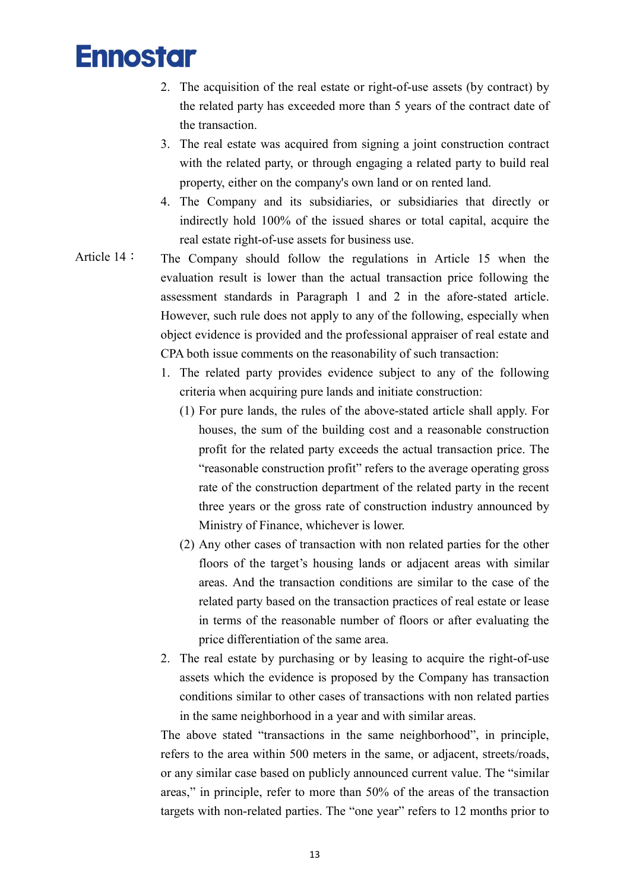- 2. The acquisition of the real estate or right-of-use assets (by contract) by the related party has exceeded more than 5 years of the contract date of the transaction.
- 3. The real estate was acquired from signing a joint construction contract with the related party, or through engaging a related party to build real property, either on the company's own land or on rented land.
- 4. The Company and its subsidiaries, or subsidiaries that directly or indirectly hold 100% of the issued shares or total capital, acquire the real estate right-of-use assets for business use.
- Article 14: The Company should follow the regulations in Article 15 when the evaluation result is lower than the actual transaction price following the assessment standards in Paragraph 1 and 2 in the afore-stated article. However, such rule does not apply to any of the following, especially when object evidence is provided and the professional appraiser of real estate and CPA both issue comments on the reasonability of such transaction:
	- 1. The related party provides evidence subject to any of the following criteria when acquiring pure lands and initiate construction:
		- (1) For pure lands, the rules of the above-stated article shall apply. For houses, the sum of the building cost and a reasonable construction profit for the related party exceeds the actual transaction price. The "reasonable construction profit" refers to the average operating gross rate of the construction department of the related party in the recent three years or the gross rate of construction industry announced by Ministry of Finance, whichever is lower.
		- (2) Any other cases of transaction with non related parties for the other floors of the target's housing lands or adjacent areas with similar areas. And the transaction conditions are similar to the case of the related party based on the transaction practices of real estate or lease in terms of the reasonable number of floors or after evaluating the price differentiation of the same area.
	- 2. The real estate by purchasing or by leasing to acquire the right-of-use assets which the evidence is proposed by the Company has transaction conditions similar to other cases of transactions with non related parties in the same neighborhood in a year and with similar areas.

The above stated "transactions in the same neighborhood", in principle, refers to the area within 500 meters in the same, or adjacent, streets/roads, or any similar case based on publicly announced current value. The "similar areas," in principle, refer to more than 50% of the areas of the transaction targets with non-related parties. The "one year" refers to 12 months prior to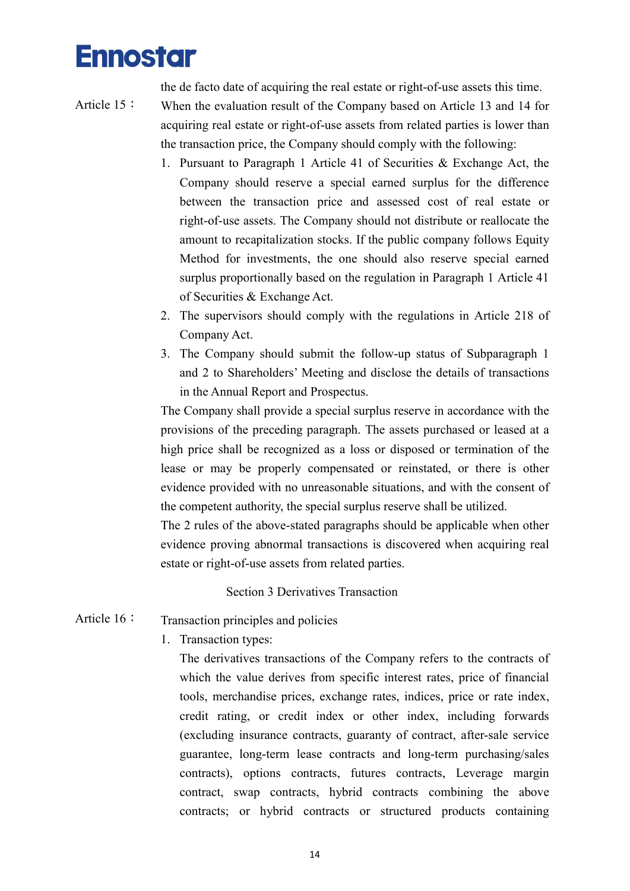the de facto date of acquiring the real estate or right-of-use assets this time.

- Article 15: When the evaluation result of the Company based on Article 13 and 14 for acquiring real estate or right-of-use assets from related parties is lower than the transaction price, the Company should comply with the following:
	- 1. Pursuant to Paragraph 1 Article 41 of Securities & Exchange Act, the Company should reserve a special earned surplus for the difference between the transaction price and assessed cost of real estate or right-of-use assets. The Company should not distribute or reallocate the amount to recapitalization stocks. If the public company follows Equity Method for investments, the one should also reserve special earned surplus proportionally based on the regulation in Paragraph 1 Article 41 of Securities & Exchange Act.
	- 2. The supervisors should comply with the regulations in Article 218 of Company Act.
	- 3. The Company should submit the follow-up status of Subparagraph 1 and 2 to Shareholders' Meeting and disclose the details of transactions in the Annual Report and Prospectus.

The Company shall provide a special surplus reserve in accordance with the provisions of the preceding paragraph. The assets purchased or leased at a high price shall be recognized as a loss or disposed or termination of the lease or may be properly compensated or reinstated, or there is other evidence provided with no unreasonable situations, and with the consent of the competent authority, the special surplus reserve shall be utilized.

The 2 rules of the above-stated paragraphs should be applicable when other evidence proving abnormal transactions is discovered when acquiring real estate or right-of-use assets from related parties.

Section 3 Derivatives Transaction

- Article 16: Transaction principles and policies
	- 1. Transaction types:

The derivatives transactions of the Company refers to the contracts of which the value derives from specific interest rates, price of financial tools, merchandise prices, exchange rates, indices, price or rate index, credit rating, or credit index or other index, including forwards (excluding insurance contracts, guaranty of contract, after-sale service guarantee, long-term lease contracts and long-term purchasing/sales contracts), options contracts, futures contracts, Leverage margin contract, swap contracts, hybrid contracts combining the above contracts; or hybrid contracts or structured products containing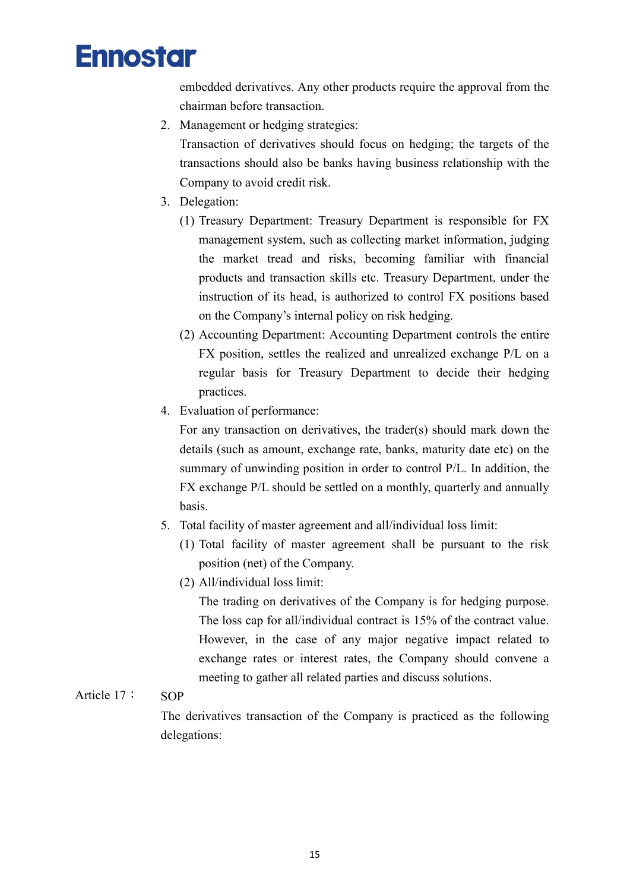

embedded derivatives. Any other products require the approval from the chairman before transaction.

2. Management or hedging strategies:

Transaction of derivatives should focus on hedging; the targets of the transactions should also be banks having business relationship with the Company to avoid credit risk.

- 3. Delegation:
	- (1) Treasury Department: Treasury Department is responsible for FX management system, such as collecting market information, judging the market tread and risks, becoming familiar with financial products and transaction skills etc. Treasury Department, under the instruction of its head, is authorized to control FX positions based on the Company's internal policy on risk hedging.
	- (2) Accounting Department: Accounting Department controls the entire FX position, settles the realized and unrealized exchange P/L on a regular basis for Treasury Department to decide their hedging practices.
- 4. Evaluation of performance:

For any transaction on derivatives, the trader(s) should mark down the details (such as amount, exchange rate, banks, maturity date etc) on the summary of unwinding position in order to control P/L. In addition, the FX exchange P/L should be settled on a monthly, quarterly and annually basis.

- 5. Total facility of master agreement and all/individual loss limit:
	- (1) Total facility of master agreement shall be pursuant to the risk position (net) of the Company.
	- (2) All/individual loss limit:

The trading on derivatives of the Company is for hedging purpose. The loss cap for all/individual contract is 15% of the contract value. However, in the case of any major negative impact related to exchange rates or interest rates, the Company should convene a meeting to gather all related parties and discuss solutions.

#### Article 17: SOP

The derivatives transaction of the Company is practiced as the following delegations: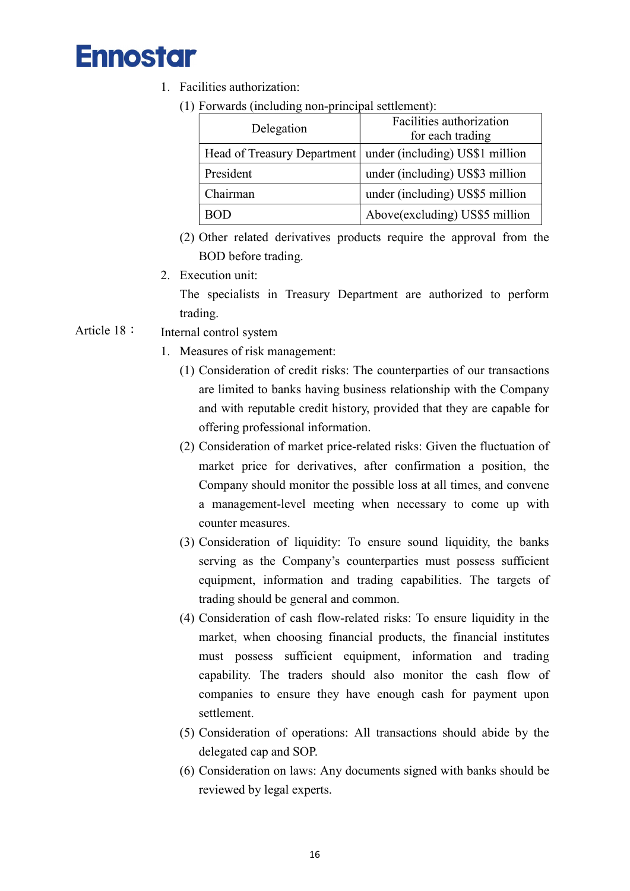- 1. Facilities authorization:
	- (1) Forwards (including non-principal settlement):

| Delegation | Facilities authorization<br>for each trading                  |  |  |
|------------|---------------------------------------------------------------|--|--|
|            | Head of Treasury Department   under (including) US\$1 million |  |  |
| President  | under (including) US\$3 million                               |  |  |
| Chairman   | under (including) US\$5 million                               |  |  |
|            | Above(excluding) US\$5 million                                |  |  |

- (2) Other related derivatives products require the approval from the BOD before trading.
- 2. Execution unit:

The specialists in Treasury Department are authorized to perform trading.

- Article 18: Internal control system
	- 1. Measures of risk management:
		- (1) Consideration of credit risks: The counterparties of our transactions are limited to banks having business relationship with the Company and with reputable credit history, provided that they are capable for offering professional information.
		- (2) Consideration of market price-related risks: Given the fluctuation of market price for derivatives, after confirmation a position, the Company should monitor the possible loss at all times, and convene a management-level meeting when necessary to come up with counter measures.
		- (3) Consideration of liquidity: To ensure sound liquidity, the banks serving as the Company's counterparties must possess sufficient equipment, information and trading capabilities. The targets of trading should be general and common.
		- (4) Consideration of cash flow-related risks: To ensure liquidity in the market, when choosing financial products, the financial institutes must possess sufficient equipment, information and trading capability. The traders should also monitor the cash flow of companies to ensure they have enough cash for payment upon settlement.
		- (5) Consideration of operations: All transactions should abide by the delegated cap and SOP.
		- (6) Consideration on laws: Any documents signed with banks should be reviewed by legal experts.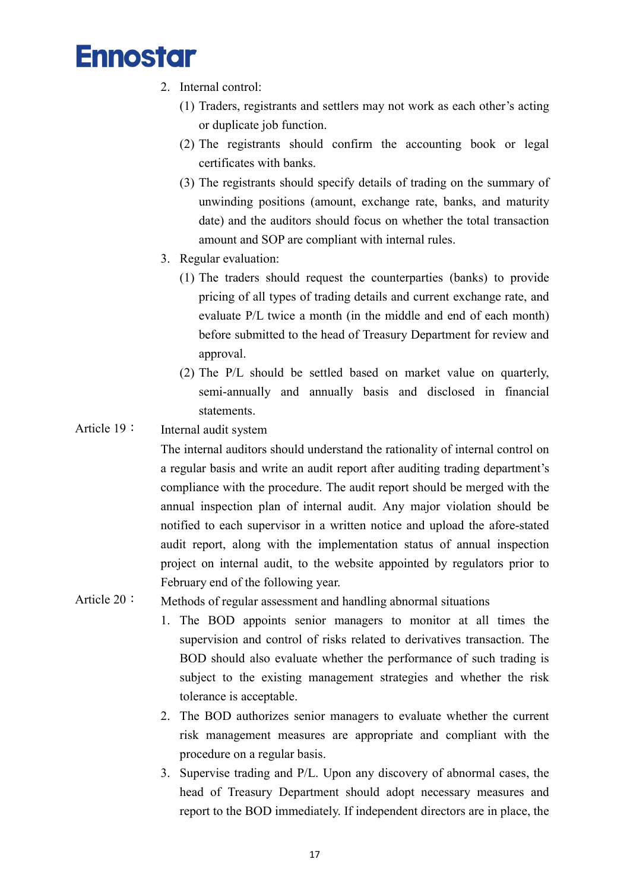- 2. Internal control:
	- (1) Traders, registrants and settlers may not work as each other's acting or duplicate job function.
	- (2) The registrants should confirm the accounting book or legal certificates with banks.
	- (3) The registrants should specify details of trading on the summary of unwinding positions (amount, exchange rate, banks, and maturity date) and the auditors should focus on whether the total transaction amount and SOP are compliant with internal rules.
- 3. Regular evaluation:
	- (1) The traders should request the counterparties (banks) to provide pricing of all types of trading details and current exchange rate, and evaluate P/L twice a month (in the middle and end of each month) before submitted to the head of Treasury Department for review and approval.
	- (2) The P/L should be settled based on market value on quarterly, semi-annually and annually basis and disclosed in financial statements.

#### Article 19: Internal audit system

The internal auditors should understand the rationality of internal control on a regular basis and write an audit report after auditing trading department's compliance with the procedure. The audit report should be merged with the annual inspection plan of internal audit. Any major violation should be notified to each supervisor in a written notice and upload the afore-stated audit report, along with the implementation status of annual inspection project on internal audit, to the website appointed by regulators prior to February end of the following year.

#### Article 20: Methods of regular assessment and handling abnormal situations

- 1. The BOD appoints senior managers to monitor at all times the supervision and control of risks related to derivatives transaction. The BOD should also evaluate whether the performance of such trading is subject to the existing management strategies and whether the risk tolerance is acceptable.
- 2. The BOD authorizes senior managers to evaluate whether the current risk management measures are appropriate and compliant with the procedure on a regular basis.
- 3. Supervise trading and P/L. Upon any discovery of abnormal cases, the head of Treasury Department should adopt necessary measures and report to the BOD immediately. If independent directors are in place, the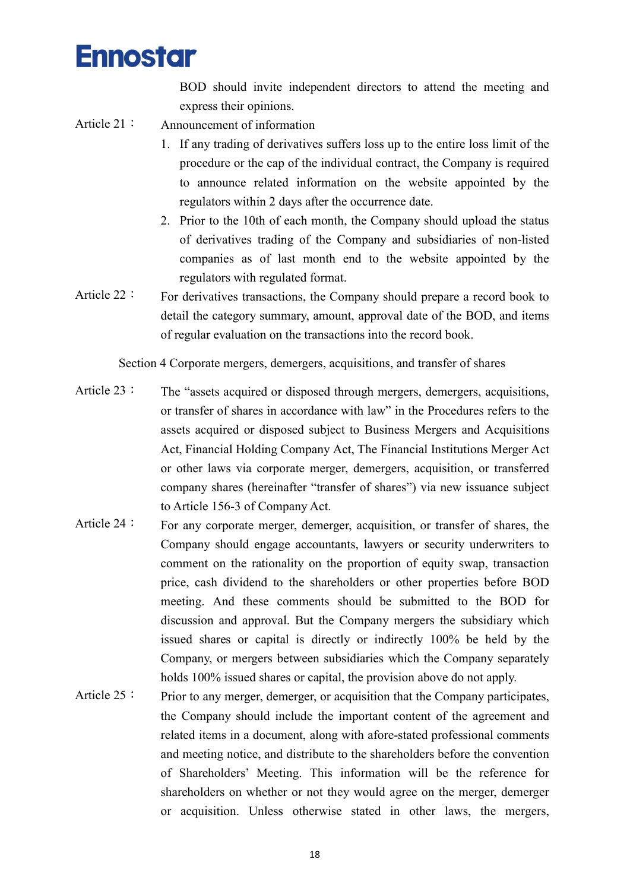BOD should invite independent directors to attend the meeting and express their opinions.

- Article 21: Announcement of information
	- 1. If any trading of derivatives suffers loss up to the entire loss limit of the procedure or the cap of the individual contract, the Company is required to announce related information on the website appointed by the regulators within 2 days after the occurrence date.
	- 2. Prior to the 10th of each month, the Company should upload the status of derivatives trading of the Company and subsidiaries of non-listed companies as of last month end to the website appointed by the regulators with regulated format.
- Article 22: For derivatives transactions, the Company should prepare a record book to detail the category summary, amount, approval date of the BOD, and items of regular evaluation on the transactions into the record book.

Section 4 Corporate mergers, demergers, acquisitions, and transfer of shares

- Article 23: The "assets acquired or disposed through mergers, demergers, acquisitions, or transfer of shares in accordance with law" in the Procedures refers to the assets acquired or disposed subject to Business Mergers and Acquisitions Act, Financial Holding Company Act, The Financial Institutions Merger Act or other laws via corporate merger, demergers, acquisition, or transferred company shares (hereinafter "transfer of shares") via new issuance subject to Article 156-3 of Company Act.
- Article  $24:$  For any corporate merger, demerger, acquisition, or transfer of shares, the Company should engage accountants, lawyers or security underwriters to comment on the rationality on the proportion of equity swap, transaction price, cash dividend to the shareholders or other properties before BOD meeting. And these comments should be submitted to the BOD for discussion and approval. But the Company mergers the subsidiary which issued shares or capital is directly or indirectly 100% be held by the Company, or mergers between subsidiaries which the Company separately holds 100% issued shares or capital, the provision above do not apply.
- Article 25: Prior to any merger, demerger, or acquisition that the Company participates, the Company should include the important content of the agreement and related items in a document, along with afore-stated professional comments and meeting notice, and distribute to the shareholders before the convention of Shareholders' Meeting. This information will be the reference for shareholders on whether or not they would agree on the merger, demerger or acquisition. Unless otherwise stated in other laws, the mergers,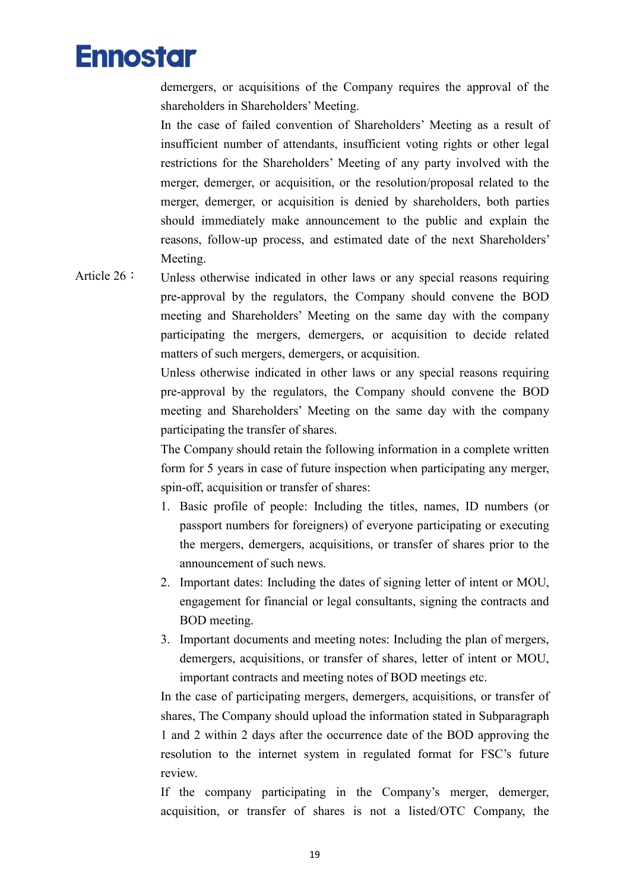demergers, or acquisitions of the Company requires the approval of the shareholders in Shareholders' Meeting.

In the case of failed convention of Shareholders' Meeting as a result of insufficient number of attendants, insufficient voting rights or other legal restrictions for the Shareholders' Meeting of any party involved with the merger, demerger, or acquisition, or the resolution/proposal related to the merger, demerger, or acquisition is denied by shareholders, both parties should immediately make announcement to the public and explain the reasons, follow-up process, and estimated date of the next Shareholders' Meeting.

Article  $26:$  Unless otherwise indicated in other laws or any special reasons requiring pre-approval by the regulators, the Company should convene the BOD meeting and Shareholders' Meeting on the same day with the company participating the mergers, demergers, or acquisition to decide related matters of such mergers, demergers, or acquisition.

> Unless otherwise indicated in other laws or any special reasons requiring pre-approval by the regulators, the Company should convene the BOD meeting and Shareholders' Meeting on the same day with the company participating the transfer of shares.

> The Company should retain the following information in a complete written form for 5 years in case of future inspection when participating any merger, spin-off, acquisition or transfer of shares:

- 1. Basic profile of people: Including the titles, names, ID numbers (or passport numbers for foreigners) of everyone participating or executing the mergers, demergers, acquisitions, or transfer of shares prior to the announcement of such news.
- 2. Important dates: Including the dates of signing letter of intent or MOU, engagement for financial or legal consultants, signing the contracts and BOD meeting.
- 3. Important documents and meeting notes: Including the plan of mergers, demergers, acquisitions, or transfer of shares, letter of intent or MOU, important contracts and meeting notes of BOD meetings etc.

In the case of participating mergers, demergers, acquisitions, or transfer of shares, The Company should upload the information stated in Subparagraph 1 and 2 within 2 days after the occurrence date of the BOD approving the resolution to the internet system in regulated format for FSC's future review.

If the company participating in the Company's merger, demerger, acquisition, or transfer of shares is not a listed/OTC Company, the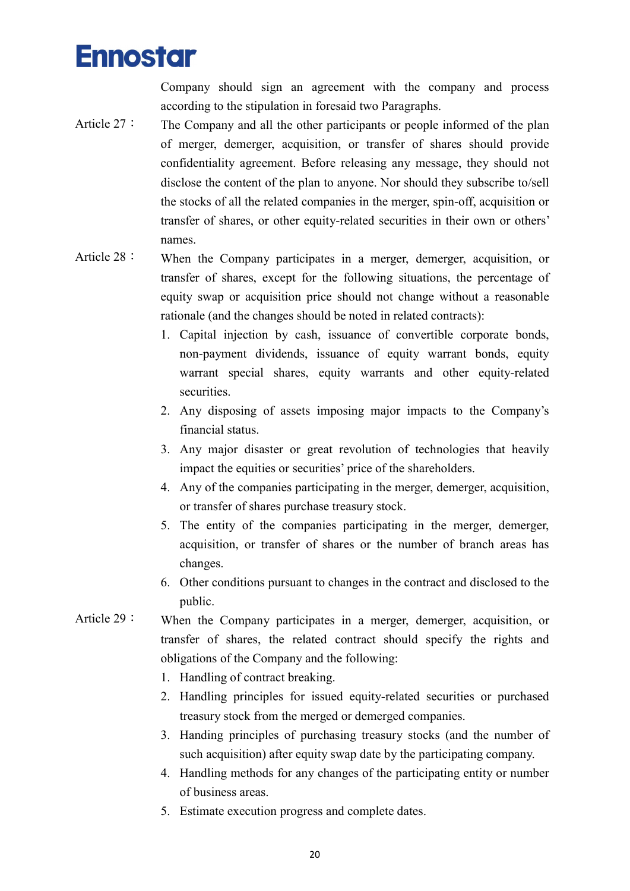Company should sign an agreement with the company and process according to the stipulation in foresaid two Paragraphs.

- Article 27: The Company and all the other participants or people informed of the plan of merger, demerger, acquisition, or transfer of shares should provide confidentiality agreement. Before releasing any message, they should not disclose the content of the plan to anyone. Nor should they subscribe to/sell the stocks of all the related companies in the merger, spin-off, acquisition or transfer of shares, or other equity-related securities in their own or others' names.
- Article 28: When the Company participates in a merger, demerger, acquisition, or transfer of shares, except for the following situations, the percentage of equity swap or acquisition price should not change without a reasonable rationale (and the changes should be noted in related contracts):
	- 1. Capital injection by cash, issuance of convertible corporate bonds, non-payment dividends, issuance of equity warrant bonds, equity warrant special shares, equity warrants and other equity-related securities.
	- 2. Any disposing of assets imposing major impacts to the Company's financial status.
	- 3. Any major disaster or great revolution of technologies that heavily impact the equities or securities' price of the shareholders.
	- 4. Any of the companies participating in the merger, demerger, acquisition, or transfer of shares purchase treasury stock.
	- 5. The entity of the companies participating in the merger, demerger, acquisition, or transfer of shares or the number of branch areas has changes.
	- 6. Other conditions pursuant to changes in the contract and disclosed to the public.
- Article 29: When the Company participates in a merger, demerger, acquisition, or transfer of shares, the related contract should specify the rights and obligations of the Company and the following:
	- 1. Handling of contract breaking.
	- 2. Handling principles for issued equity-related securities or purchased treasury stock from the merged or demerged companies.
	- 3. Handing principles of purchasing treasury stocks (and the number of such acquisition) after equity swap date by the participating company.
	- 4. Handling methods for any changes of the participating entity or number of business areas.
	- 5. Estimate execution progress and complete dates.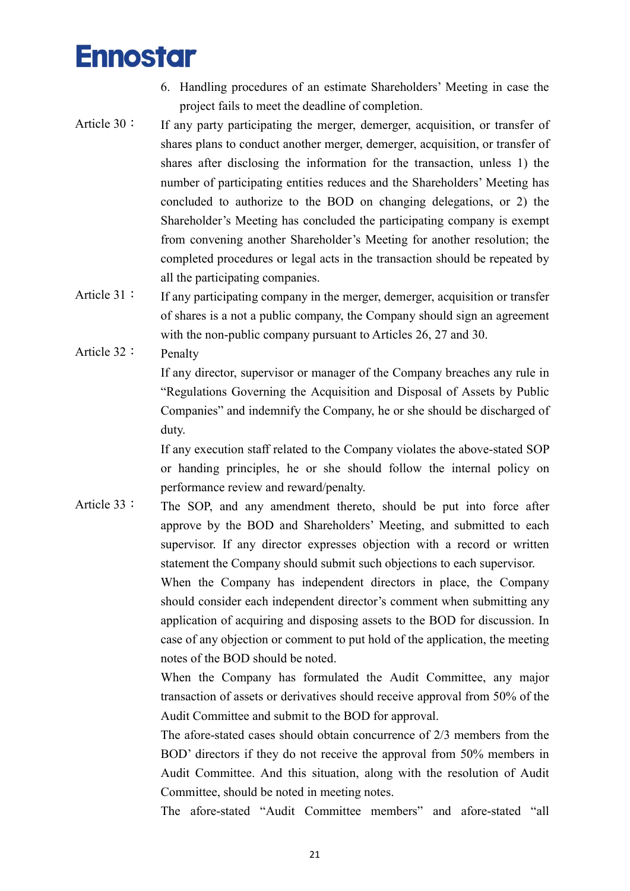- 6. Handling procedures of an estimate Shareholders' Meeting in case the project fails to meet the deadline of completion.
- Article 30: If any party participating the merger, demerger, acquisition, or transfer of shares plans to conduct another merger, demerger, acquisition, or transfer of shares after disclosing the information for the transaction, unless 1) the number of participating entities reduces and the Shareholders' Meeting has concluded to authorize to the BOD on changing delegations, or 2) the Shareholder's Meeting has concluded the participating company is exempt from convening another Shareholder's Meeting for another resolution; the completed procedures or legal acts in the transaction should be repeated by all the participating companies.
- Article  $31:$  If any participating company in the merger, demerger, acquisition or transfer of shares is a not a public company, the Company should sign an agreement with the non-public company pursuant to Articles 26, 27 and 30.

Article 32: Penalty

If any director, supervisor or manager of the Company breaches any rule in "Regulations Governing the Acquisition and Disposal of Assets by Public Companies" and indemnify the Company, he or she should be discharged of duty.

If any execution staff related to the Company violates the above-stated SOP or handing principles, he or she should follow the internal policy on performance review and reward/penalty.

Article 33: The SOP, and any amendment thereto, should be put into force after approve by the BOD and Shareholders' Meeting, and submitted to each supervisor. If any director expresses objection with a record or written statement the Company should submit such objections to each supervisor. When the Company has independent directors in place, the Company should consider each independent director's comment when submitting any application of acquiring and disposing assets to the BOD for discussion. In

case of any objection or comment to put hold of the application, the meeting notes of the BOD should be noted.

When the Company has formulated the Audit Committee, any major transaction of assets or derivatives should receive approval from 50% of the Audit Committee and submit to the BOD for approval.

The afore-stated cases should obtain concurrence of 2/3 members from the BOD' directors if they do not receive the approval from 50% members in Audit Committee. And this situation, along with the resolution of Audit Committee, should be noted in meeting notes.

The afore-stated "Audit Committee members" and afore-stated "all